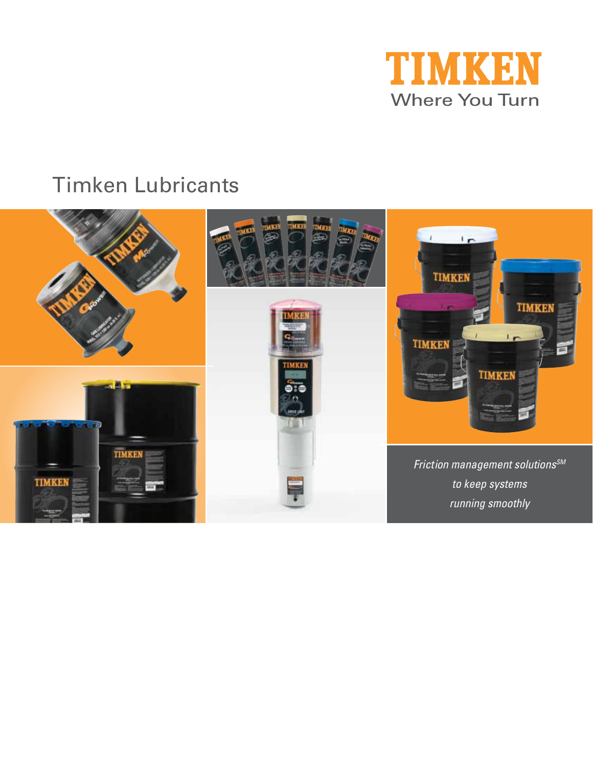

# Timken Lubricants

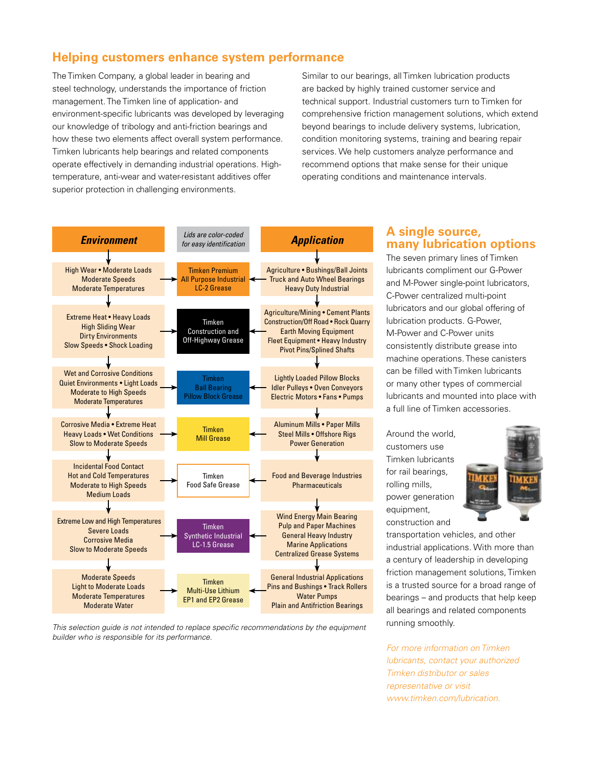# **Helping customers enhance system performance**

The Timken Company, a global leader in bearing and steel technology, understands the importance of friction management. The Timken line of application- and environment-specific lubricants was developed by leveraging our knowledge of tribology and anti-friction bearings and how these two elements affect overall system performance. Timken lubricants help bearings and related components operate effectively in demanding industrial operations. Hightemperature, anti-wear and water-resistant additives offer superior protection in challenging environments.

Similar to our bearings, all Timken lubrication products are backed by highly trained customer service and technical support. Industrial customers turn to Timken for comprehensive friction management solutions, which extend beyond bearings to include delivery systems, lubrication, condition monitoring systems, training and bearing repair services. We help customers analyze performance and recommend options that make sense for their unique operating conditions and maintenance intervals.





# **A single source, many lubrication options**

The seven primary lines of Timken lubricants compliment our G-Power and M-Power single-point lubricators, C-Power centralized multi-point lubricators and our global offering of lubrication products. G-Power, M-Power and C-Power units consistently distribute grease into machine operations. These canisters can be filled with Timken lubricants or many other types of commercial lubricants and mounted into place with a full line of Timken accessories.

Around the world, customers use Timken lubricants for rail bearings, rolling mills, power generation equipment, construction and



transportation vehicles, and other industrial applications. With more than a century of leadership in developing friction management solutions, Timken is a trusted source for a broad range of bearings – and products that help keep all bearings and related components running smoothly.

*For more information on Timken lubricants, contact your authorized Timken distributor or sales representative or visit www.timken.com/lubrication.*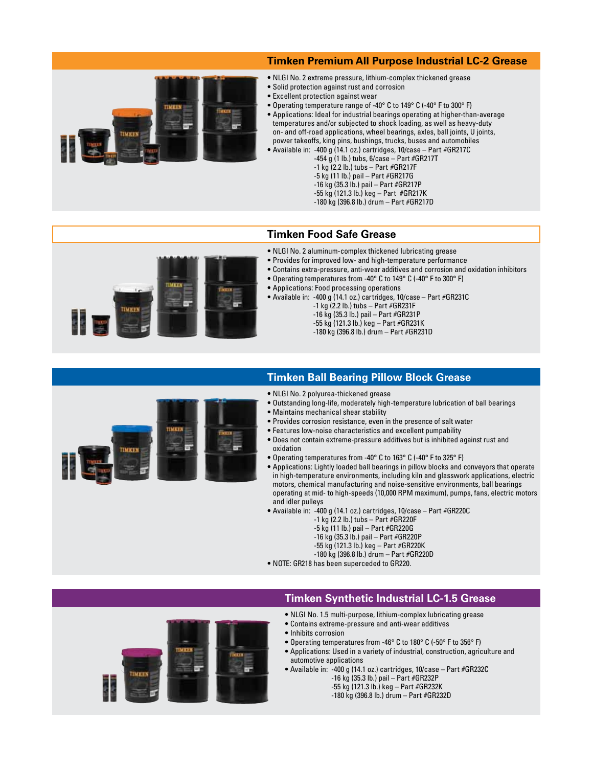#### **Timken Premium All Purpose Industrial LC-2 Grease**



- NLGI No. 2 extreme pressure, lithium-complex thickened grease
- Solid protection against rust and corrosion
- Excellent protection against wear
- Operating temperature range of -40° C to 149° C (-40° F to 300° F) • Applications: Ideal for industrial bearings operating at higher-than-average temperatures and/or subjected to shock loading, as well as heavy-duty on- and off-road applications, wheel bearings, axles, ball joints, U joints, power takeoffs, king pins, bushings, trucks, buses and automobiles
- Available in: -400 g (14.1 oz.) cartridges, 10/case Part #GR217C
	- $-454$  g (1 lb.) tubs, 6/case Part #GR217T
		- -1 kg (2.2 lb.) tubs Part #GR217F -5 kg (11 lb.) pail – Part #GR217G
		- -16 kg (35.3 lb.) pail Part #GR217P
		- -55 kg (121.3 lb.) keg Part #GR217K
		- -180 kg (396.8 lb.) drum Part #GR217D

## **Timken Food Safe Grease**

- NLGI No. 2 aluminum-complex thickened lubricating grease • Provides for improved low- and high-temperature performance
	- Contains extra-pressure, anti-wear additives and corrosion and oxidation inhibitors
	- Operating temperatures from -40° C to 149° C (-40° F to 300° F)
	- Applications: Food processing operations
	- Available in: -400 g (14.1 oz.) cartridges, 10/case Part #GR231C
		- -1 kg (2.2 lb.) tubs Part #GR231F -16 kg (35.3 lb.) pail – Part #GR231P -55 kg (121.3 lb.) keg – Part #GR231K -180 kg (396.8 lb.) drum – Part #GR231D



#### **Timken Ball Bearing Pillow Block Grease**

- NLGI No. 2 polyurea-thickened grease
- Outstanding long-life, moderately high-temperature lubrication of ball bearings
- Maintains mechanical shear stability
- Provides corrosion resistance, even in the presence of salt water
- Features low-noise characteristics and excellent pumpability
- Does not contain extreme-pressure additives but is inhibited against rust and oxidation
- Operating temperatures from -40° C to 163° C (-40° F to 325° F)
- Applications: Lightly loaded ball bearings in pillow blocks and conveyors that operate in high-temperature environments, including kiln and glasswork applications, electric motors, chemical manufacturing and noise-sensitive environments, ball bearings operating at mid- to high-speeds (10,000 RPM maximum), pumps, fans, electric motors and idler pulleys
- Available in: -400 g (14.1 oz.) cartridges, 10/case Part #GR220C
	- -1 kg (2.2 lb.) tubs Part #GR220F
	- -5 kg (11 lb.) pail Part #GR220G
	- -16 kg (35.3 lb.) pail Part #GR220P
	- -55 kg (121.3 lb.) keg Part #GR220K
	- -180 kg (396.8 lb.) drum Part #GR220D
- NOTE: GR218 has been superceded to GR220.

#### **Timken Synthetic Industrial LC-1.5 Grease**

- NLGI No. 1.5 multi-purpose, lithium-complex lubricating grease
- Contains extreme-pressure and anti-wear additives
- Inhibits corrosion
- Operating temperatures from -46° C to 180° C (-50° F to 356° F)
- Applications: Used in a variety of industrial, construction, agriculture and automotive applications
- Available in: -400 g (14.1 oz.) cartridges, 10/case Part #GR232C -16 kg (35.3 lb.) pail – Part #GR232P
	- -55 kg (121.3 lb.) keg Part #GR232K
	- -180 kg (396.8 lb.) drum Part #GR232D
-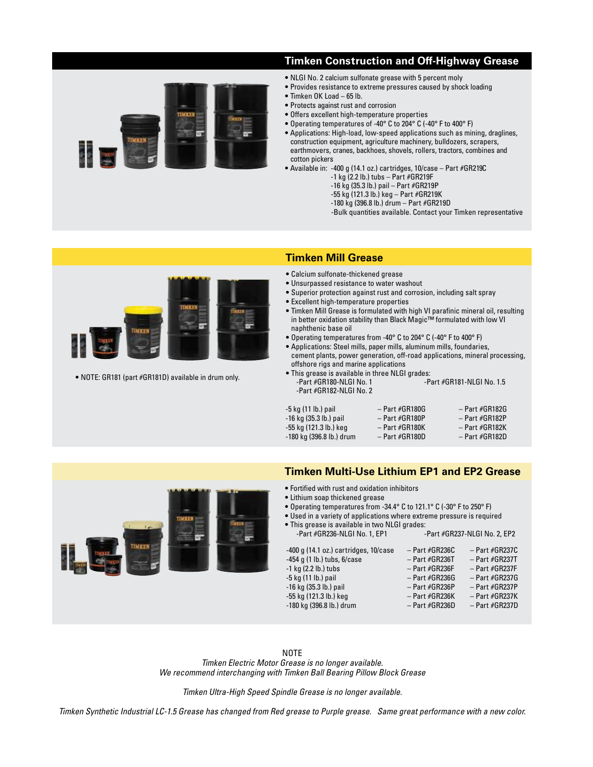### **Timken Construction and Off-Highway Grease**

- 
- NLGI No. 2 calcium sulfonate grease with 5 percent moly
- Provides resistance to extreme pressures caused by shock loading
- Timken OK Load 65 lb.
- Protects against rust and corrosion
- Offers excellent high-temperature properties
- Operating temperatures of -40° C to 204° C (-40° F to 400° F)
- Applications: High-load, low-speed applications such as mining, draglines, construction equipment, agriculture machinery, bulldozers, scrapers, earthmovers, cranes, backhoes, shovels, rollers, tractors, combines and cotton pickers
- Available in: -400 g (14.1 oz.) cartridges, 10/case Part #GR219C
	- $-1$  kg (2.2 lb.) tubs  $-$  Part  $#$ GR219F
	- -16 kg (35.3 lb.) pail Part #GR219P
	- -55 kg (121.3 lb.) keg Part #GR219K
	- -180 kg (396.8 lb.) drum Part #GR219D
	- -Bulk quantities available. Contact your Timken representative



• NOTE: GR181 (part #GR181D) available in drum only.

### **Timken Mill Grease**

- Calcium sulfonate-thickened grease
- Unsurpassed resistance to water washout
- Superior protection against rust and corrosion, including salt spray
- Excellent high-temperature properties
- Timken Mill Grease is formulated with high VI parafinic mineral oil, resulting in better oxidation stability than Black Magic™ formulated with low VI naphthenic base oil
- Operating temperatures from -40° C to 204° C (-40° F to 400° F)
- Applications: Steel mills, paper mills, aluminum mills, foundaries,
- cement plants, power generation, off-road applications, mineral processing, offshore rigs and marine applications
- This grease is available in three NLGI grades: -Part #GR181-NLGI No. 1.5 -Part #GR182-NLGI No. 2

| $-$ Part $#$ GR180G | $-$ Part $#GR182G$  |
|---------------------|---------------------|
| $-$ Part $#GR180P$  | $-$ Part #GR182P    |
| $-$ Part $#$ GR180K | $-$ Part $#$ GR182K |
| $-$ Part #GR180D    | $-$ Part $#GR182D$  |
|                     |                     |



- Fortified with rust and oxidation inhibitors
- Lithium soap thickened grease
- Operating temperatures from -34.4° C to 121.1° C (-30° F to 250° F)
- Used in a variety of applications where extreme pressure is required
- This grease is available in two NLGI grades: -Part #GR236-NLGI No. 1, EP1



 $-180$  kg (396.8 lb.) drum

**NOTE** 

*Timken Electric Motor Grease is no longer available. We recommend interchanging with Timken Ball Bearing Pillow Block Grease*

*Timken Ultra-High Speed Spindle Grease is no longer available.*

*Timken Synthetic Industrial LC-1.5 Grease has changed from Red grease to Purple grease. Same great performance with a new color.*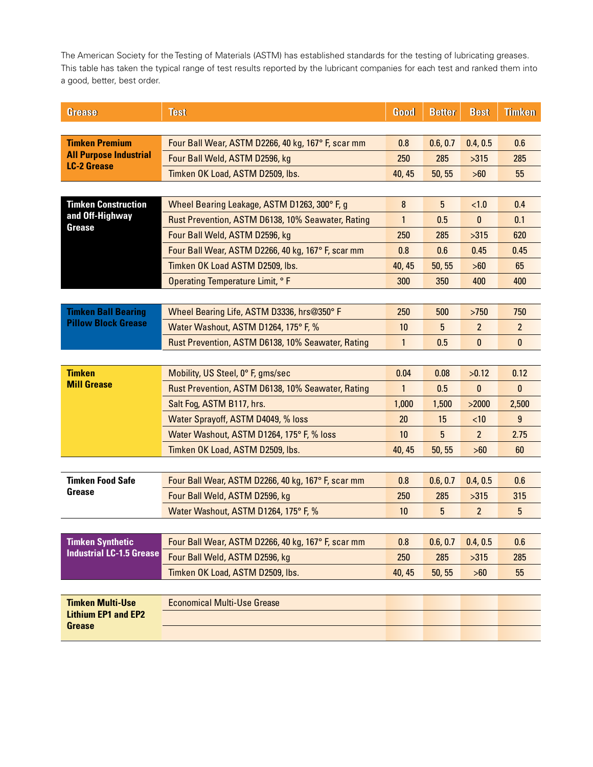The American Society for the Testing of Materials (ASTM) has established standards for the testing of lubricating greases. This table has taken the typical range of test results reported by the lubricant companies for each test and ranked them into a good, better, best order.

| <b>Grease</b>                                         | <b>Test</b>                                        | Good         | <b>Better</b>  | <b>Best</b>    | <b>Timken</b>  |  |
|-------------------------------------------------------|----------------------------------------------------|--------------|----------------|----------------|----------------|--|
|                                                       |                                                    |              |                |                |                |  |
| <b>Timken Premium</b>                                 | Four Ball Wear, ASTM D2266, 40 kg, 167° F, scar mm | 0.8          | 0.6, 0.7       | 0.4, 0.5       | 0.6            |  |
| <b>All Purpose Industrial</b><br><b>LC-2 Grease</b>   | Four Ball Weld, ASTM D2596, kg                     | 250          | 285            | >315           | 285            |  |
|                                                       | Timken OK Load, ASTM D2509, lbs.                   | 40, 45       | 50, 55         | >60            | 55             |  |
|                                                       |                                                    |              |                |                |                |  |
| <b>Timken Construction</b><br>and Off-Highway         | Wheel Bearing Leakage, ASTM D1263, 300° F, g       | 8            | $5\phantom{.}$ | $<1.0$         | 0.4            |  |
|                                                       | Rust Prevention, ASTM D6138, 10% Seawater, Rating  | $\mathbf{1}$ | 0.5            | 0              | 0.1            |  |
| Grease                                                | Four Ball Weld, ASTM D2596, kg                     | 250          | 285            | >315           | 620            |  |
|                                                       | Four Ball Wear, ASTM D2266, 40 kg, 167° F, scar mm | 0.8          | 0.6            | 0.45           | 0.45           |  |
|                                                       | Timken OK Load ASTM D2509, lbs.                    | 40, 45       | 50, 55         | >60            | 65             |  |
|                                                       | Operating Temperature Limit, °F                    | 300          | 350            | 400            | 400            |  |
|                                                       |                                                    |              |                |                |                |  |
| <b>Timken Ball Bearing</b>                            | Wheel Bearing Life, ASTM D3336, hrs@350°F          | 250          | 500            | $>750$         | 750            |  |
| <b>Pillow Block Grease</b>                            | Water Washout, ASTM D1264, 175° F, %               | 10           | 5              | $\overline{2}$ | $\overline{2}$ |  |
|                                                       | Rust Prevention, ASTM D6138, 10% Seawater, Rating  | $\mathbf{1}$ | 0.5            | 0              | $\mathbf{0}$   |  |
|                                                       |                                                    |              |                |                |                |  |
| <b>Timken</b>                                         | Mobility, US Steel, 0° F, gms/sec                  | 0.04         | 0.08           | >0.12          | 0.12           |  |
| <b>Mill Grease</b>                                    | Rust Prevention, ASTM D6138, 10% Seawater, Rating  | $\mathbf{1}$ | 0.5            | $\bf{0}$       | $\mathbf{0}$   |  |
|                                                       | Salt Fog, ASTM B117, hrs.                          | 1,000        | 1,500          | >2000          | 2,500          |  |
|                                                       | Water Sprayoff, ASTM D4049, % loss                 | 20           | 15             | <10            | $\overline{9}$ |  |
|                                                       | Water Washout, ASTM D1264, 175° F, % loss          | 10           | 5              | $2^{\circ}$    | 2.75           |  |
|                                                       | Timken OK Load, ASTM D2509, lbs.                   | 40, 45       | 50, 55         | >60            | 60             |  |
|                                                       |                                                    |              |                |                |                |  |
| <b>Timken Food Safe</b>                               | Four Ball Wear, ASTM D2266, 40 kg, 167° F, scar mm | 0.8          | 0.6, 0.7       | 0.4, 0.5       | 0.6            |  |
| Grease                                                | Four Ball Weld, ASTM D2596, kg                     | 250          | 285            | $>315$         | 315            |  |
|                                                       | Water Washout, ASTM D1264, 175° F, %               | 10           | 5              | $\overline{2}$ | 5              |  |
|                                                       |                                                    |              |                |                |                |  |
| <b>Timken Synthetic</b>                               | Four Ball Wear, ASTM D2266, 40 kg, 167° F, scar mm | 0.8          | 0.6, 0.7       | 0.4, 0.5       | 0.6            |  |
| <b>Industrial LC-1.5 Grease</b>                       | Four Ball Weld, ASTM D2596, kg                     | 250          | 285            | $>315$         | 285            |  |
|                                                       | Timken OK Load, ASTM D2509, lbs.                   | 40, 45       | 50, 55         | >60            | 55             |  |
|                                                       |                                                    |              |                |                |                |  |
| <b>Timken Multi-Use</b><br><b>Lithium EP1 and EP2</b> | <b>Economical Multi-Use Grease</b>                 |              |                |                |                |  |
|                                                       |                                                    |              |                |                |                |  |
| <b>Grease</b>                                         |                                                    |              |                |                |                |  |